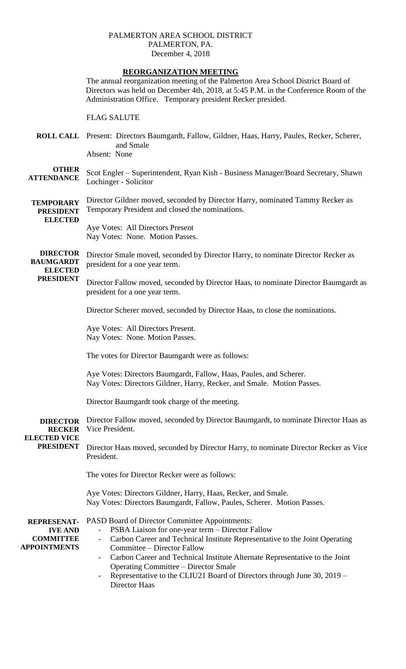### PALMERTON AREA SCHOOL DISTRICT PALMERTON, PA. December 4, 2018

## **REORGANIZATION MEETING**

The annual reorganization meeting of the Palmerton Area School District Board of Directors was held on December 4th, 2018, at 5:45 P.M. in the Conference Room of the Administration Office. Temporary president Recker presided.

#### FLAG SALUTE

**ROLL CALL** Present: Directors Baumgardt, Fallow, Gildner, Haas, Harry, Paules, Recker, Scherer, and Smale Absent: None

#### **OTHER ATTENDANCE** Scot Engler – Superintendent, Ryan Kish - Business Manager/Board Secretary, Shawn Lochinger - Solicitor

**TEMPORARY PRESIDENT ELECTED** Director Gildner moved, seconded by Director Harry, nominated Tammy Recker as Temporary President and closed the nominations.

Aye Votes: All Directors Present Nay Votes: None. Motion Passes.

**DIRECTOR BAUMGARDT ELECTED**  Director Smale moved, seconded by Director Harry, to nominate Director Recker as president for a one year term.

# **PRESIDENT**

Director Fallow moved, seconded by Director Haas, to nominate Director Baumgardt as president for a one year term.

Director Scherer moved, seconded by Director Haas, to close the nominations.

Aye Votes: All Directors Present. Nay Votes: None. Motion Passes.

The votes for Director Baumgardt were as follows:

Aye Votes: Directors Baumgardt, Fallow, Haas, Paules, and Scherer. Nay Votes: Directors Gildner, Harry, Recker, and Smale. Motion Passes.

Director Baumgardt took charge of the meeting.

**DIRECTOR RECKER**  Director Fallow moved, seconded by Director Baumgardt, to nominate Director Haas as Vice President.

**ELECTED VICE PRESIDENT**

Director Haas moved, seconded by Director Harry, to nominate Director Recker as Vice President.

The votes for Director Recker were as follows:

Aye Votes: Directors Gildner, Harry, Haas, Recker, and Smale. Nay Votes: Directors Baumgardt, Fallow, Paules, Scherer. Motion Passes.

**REPRESENAT-IVE AND COMMITTEE APPOINTMENTS** PASD Board of Director Committee Appointments: PSBA Liaison for one-year term – Director Fallow - Carbon Career and Technical Institute Representative to the Joint Operating Committee – Director Fallow - Carbon Career and Technical Institute Alternate Representative to the Joint

- Operating Committee Director Smale
- Representative to the CLIU21 Board of Directors through June 30, 2019 Director Haas